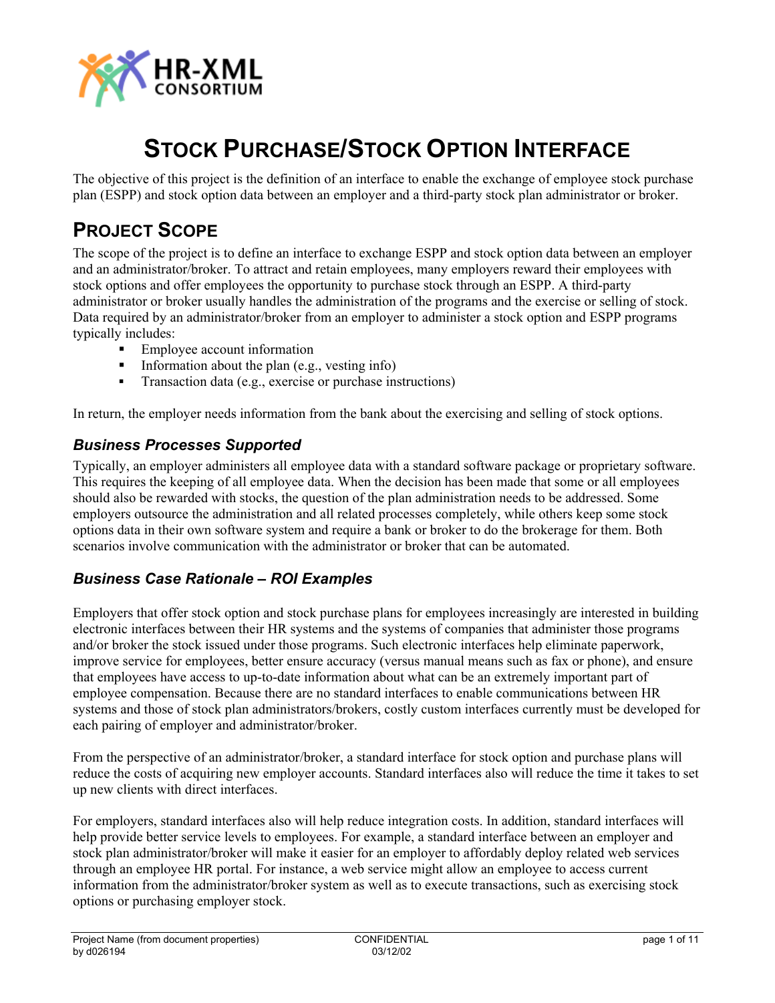

# **STOCK PURCHASE/STOCK OPTION INTERFACE**

The objective of this project is the definition of an interface to enable the exchange of employee stock purchase plan (ESPP) and stock option data between an employer and a third-party stock plan administrator or broker.

### **PROJECT SCOPE**

The scope of the project is to define an interface to exchange ESPP and stock option data between an employer and an administrator/broker. To attract and retain employees, many employers reward their employees with stock options and offer employees the opportunity to purchase stock through an ESPP. A third-party administrator or broker usually handles the administration of the programs and the exercise or selling of stock. Data required by an administrator/broker from an employer to administer a stock option and ESPP programs typically includes:

- Employee account information
- Information about the plan  $(e.g., vesting info)$
- **Transaction data (e.g., exercise or purchase instructions)**

In return, the employer needs information from the bank about the exercising and selling of stock options.

### *Business Processes Supported*

Typically, an employer administers all employee data with a standard software package or proprietary software. This requires the keeping of all employee data. When the decision has been made that some or all employees should also be rewarded with stocks, the question of the plan administration needs to be addressed. Some employers outsource the administration and all related processes completely, while others keep some stock options data in their own software system and require a bank or broker to do the brokerage for them. Both scenarios involve communication with the administrator or broker that can be automated.

### *Business Case Rationale – ROI Examples*

Employers that offer stock option and stock purchase plans for employees increasingly are interested in building electronic interfaces between their HR systems and the systems of companies that administer those programs and/or broker the stock issued under those programs. Such electronic interfaces help eliminate paperwork, improve service for employees, better ensure accuracy (versus manual means such as fax or phone), and ensure that employees have access to up-to-date information about what can be an extremely important part of employee compensation. Because there are no standard interfaces to enable communications between HR systems and those of stock plan administrators/brokers, costly custom interfaces currently must be developed for each pairing of employer and administrator/broker.

From the perspective of an administrator/broker, a standard interface for stock option and purchase plans will reduce the costs of acquiring new employer accounts. Standard interfaces also will reduce the time it takes to set up new clients with direct interfaces.

For employers, standard interfaces also will help reduce integration costs. In addition, standard interfaces will help provide better service levels to employees. For example, a standard interface between an employer and stock plan administrator/broker will make it easier for an employer to affordably deploy related web services through an employee HR portal. For instance, a web service might allow an employee to access current information from the administrator/broker system as well as to execute transactions, such as exercising stock options or purchasing employer stock.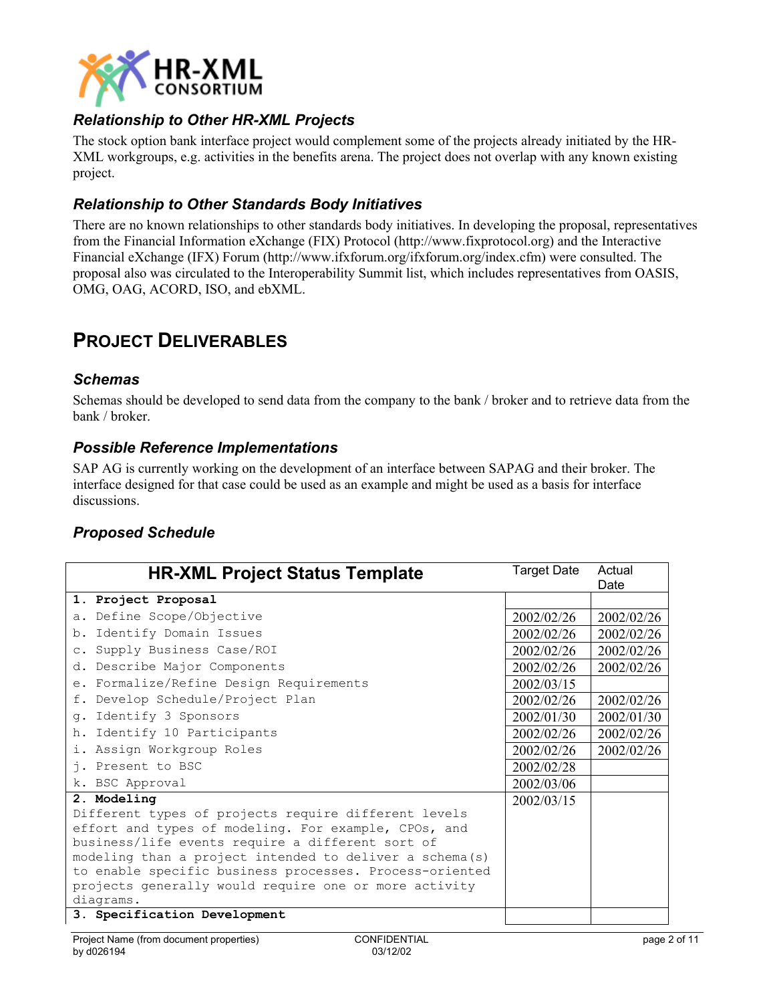

### *Relationship to Other HR-XML Projects*

The stock option bank interface project would complement some of the projects already initiated by the HR-XML workgroups, e.g. activities in the benefits arena. The project does not overlap with any known existing project.

### *Relationship to Other Standards Body Initiatives*

There are no known relationships to other standards body initiatives. In developing the proposal, representatives from the Financial Information eXchange (FIX) Protocol (http:/[/www.fixprotocol.org](http://www.fixprotocol.org/)) and the [Interactive](http://www.ifxforum.org/) [Financial eXchange \(IFX\) Forum](http://www.ifxforum.org/) (http://www.ifxforum.org/ifxforum.org/index.cfm) were consulted. The proposal also was circulated to the Interoperability Summit list, which includes representatives from OASIS, OMG, OAG, ACORD, ISO, and ebXML.

### **PROJECT DELIVERABLES**

#### *Schemas*

Schemas should be developed to send data from the company to the bank / broker and to retrieve data from the bank / broker.

#### *Possible Reference Implementations*

SAP AG is currently working on the development of an interface between SAPAG and their broker. The interface designed for that case could be used as an example and might be used as a basis for interface discussions.

### *Proposed Schedule*

| <b>HR-XML Project Status Template</b>                    | <b>Target Date</b> | Actual<br>Date |
|----------------------------------------------------------|--------------------|----------------|
| 1. Project Proposal                                      |                    |                |
| a. Define Scope/Objective                                | 2002/02/26         | 2002/02/26     |
| b. Identify Domain Issues                                | 2002/02/26         | 2002/02/26     |
| c. Supply Business Case/ROI                              | 2002/02/26         | 2002/02/26     |
| d. Describe Major Components                             | 2002/02/26         | 2002/02/26     |
| e. Formalize/Refine Design Requirements                  | 2002/03/15         |                |
| f. Develop Schedule/Project Plan                         | 2002/02/26         | 2002/02/26     |
| g. Identify 3 Sponsors                                   | 2002/01/30         | 2002/01/30     |
| h. Identify 10 Participants                              | 2002/02/26         | 2002/02/26     |
| i. Assign Workgroup Roles                                | 2002/02/26         | 2002/02/26     |
| j. Present to BSC                                        | 2002/02/28         |                |
| k. BSC Approval                                          | 2002/03/06         |                |
| 2. Modeling                                              | 2002/03/15         |                |
| Different types of projects require different levels     |                    |                |
| effort and types of modeling. For example, CPOs, and     |                    |                |
| business/life events require a different sort of         |                    |                |
| modeling than a project intended to deliver a schema (s) |                    |                |
| to enable specific business processes. Process-oriented  |                    |                |
| projects generally would require one or more activity    |                    |                |
| diagrams.                                                |                    |                |
| 3. Specification Development                             |                    |                |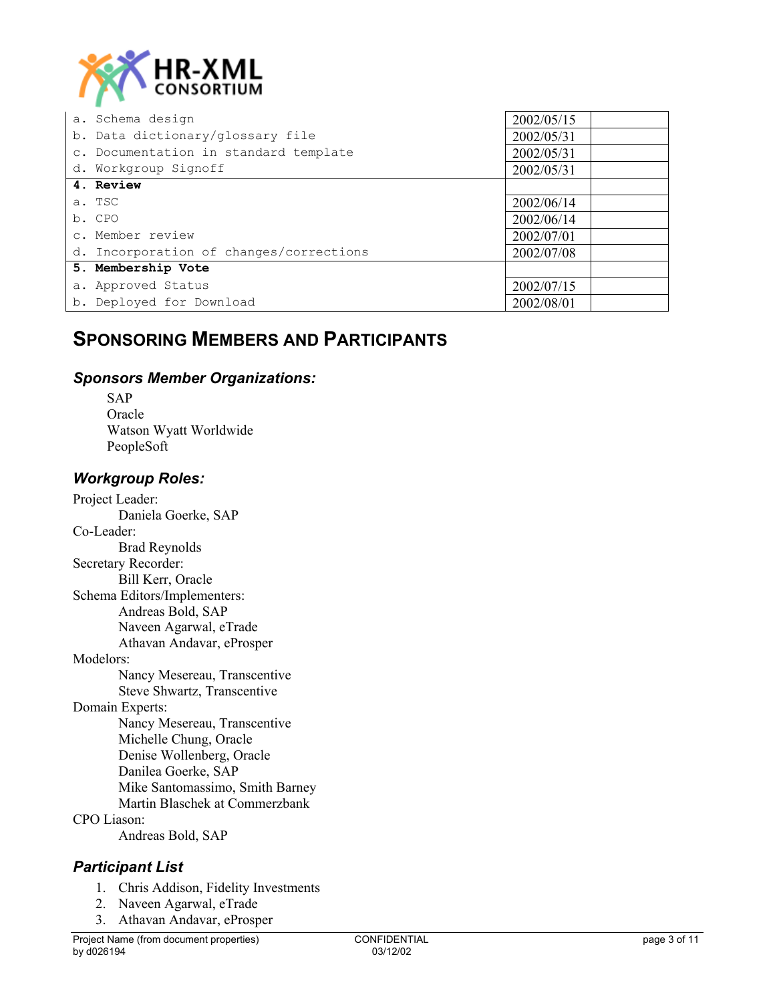

| a. Schema design                        | 2002/05/15 |
|-----------------------------------------|------------|
| b. Data dictionary/glossary file        | 2002/05/31 |
| c. Documentation in standard template   | 2002/05/31 |
| d. Workgroup Signoff                    | 2002/05/31 |
| 4. Review                               |            |
| a. TSC                                  | 2002/06/14 |
| b. CPO                                  | 2002/06/14 |
| c. Member review                        | 2002/07/01 |
| d. Incorporation of changes/corrections | 2002/07/08 |
| 5. Membership Vote                      |            |
| a. Approved Status                      | 2002/07/15 |
| b. Deployed for Download                | 2002/08/01 |

### **SPONSORING MEMBERS AND PARTICIPANTS**

#### *Sponsors Member Organizations:*

SAP **Oracle** Watson Wyatt Worldwide PeopleSoft

#### *Workgroup Roles:*

Project Leader: Daniela Goerke, SAP Co-Leader: Brad Reynolds Secretary Recorder: Bill Kerr, Oracle Schema Editors/Implementers: Andreas Bold, SAP Naveen Agarwal, eTrade Athavan Andavar, eProsper Modelors: Nancy Mesereau, Transcentive Steve Shwartz, Transcentive Domain Experts: Nancy Mesereau, Transcentive Michelle Chung, Oracle Denise Wollenberg, Oracle Danilea Goerke, SAP Mike Santomassimo, Smith Barney Martin Blaschek at Commerzbank CPO Liason: Andreas Bold, SAP

### *Participant List*

- 1. Chris Addison, Fidelity Investments
- 2. Naveen Agarwal, eTrade
- 3. Athavan Andavar, eProsper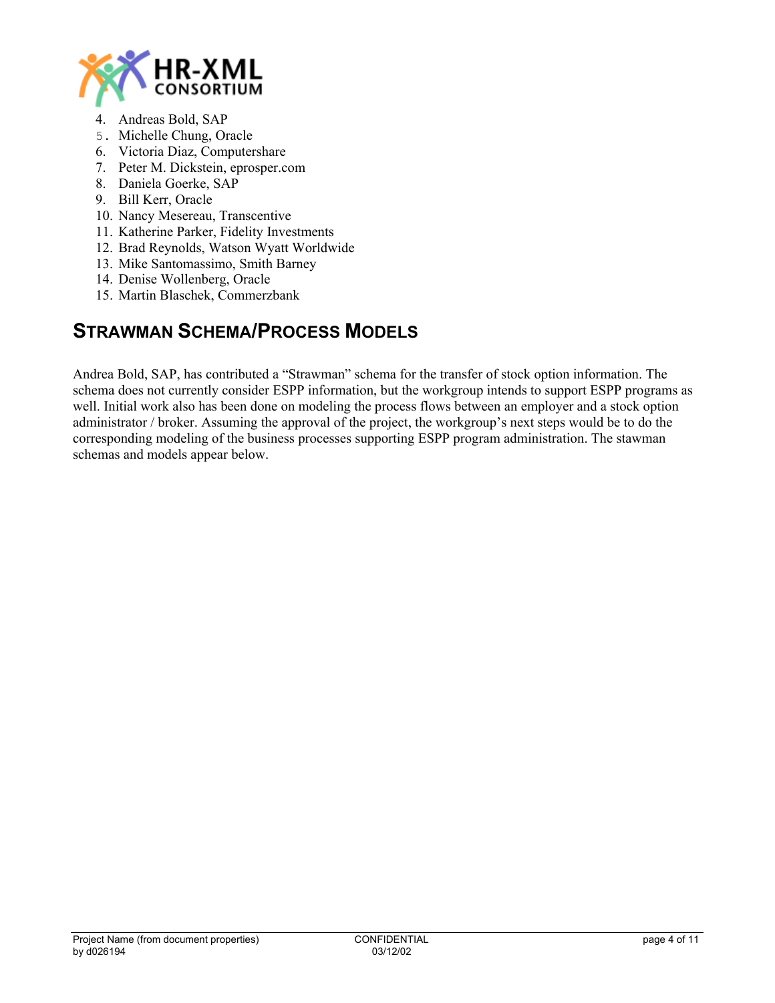

- 4. Andreas Bold, SAP
- 5. Michelle Chung, Oracle
- 6. Victoria Diaz, Computershare
- 7. Peter M. Dickstein, eprosper.com
- 8. Daniela Goerke, SAP
- 9. Bill Kerr, Oracle
- 10. Nancy Mesereau, Transcentive
- 11. Katherine Parker, Fidelity Investments
- 12. Brad Reynolds, Watson Wyatt Worldwide
- 13. Mike Santomassimo, Smith Barney
- 14. Denise Wollenberg, Oracle
- 15. Martin Blaschek, Commerzbank

## **STRAWMAN SCHEMA/PROCESS MODELS**

Andrea Bold, SAP, has contributed a "Strawman" schema for the transfer of stock option information. The schema does not currently consider ESPP information, but the workgroup intends to support ESPP programs as well. Initial work also has been done on modeling the process flows between an employer and a stock option administrator / broker. Assuming the approval of the project, the workgroup's next steps would be to do the corresponding modeling of the business processes supporting ESPP program administration. The stawman schemas and models appear below.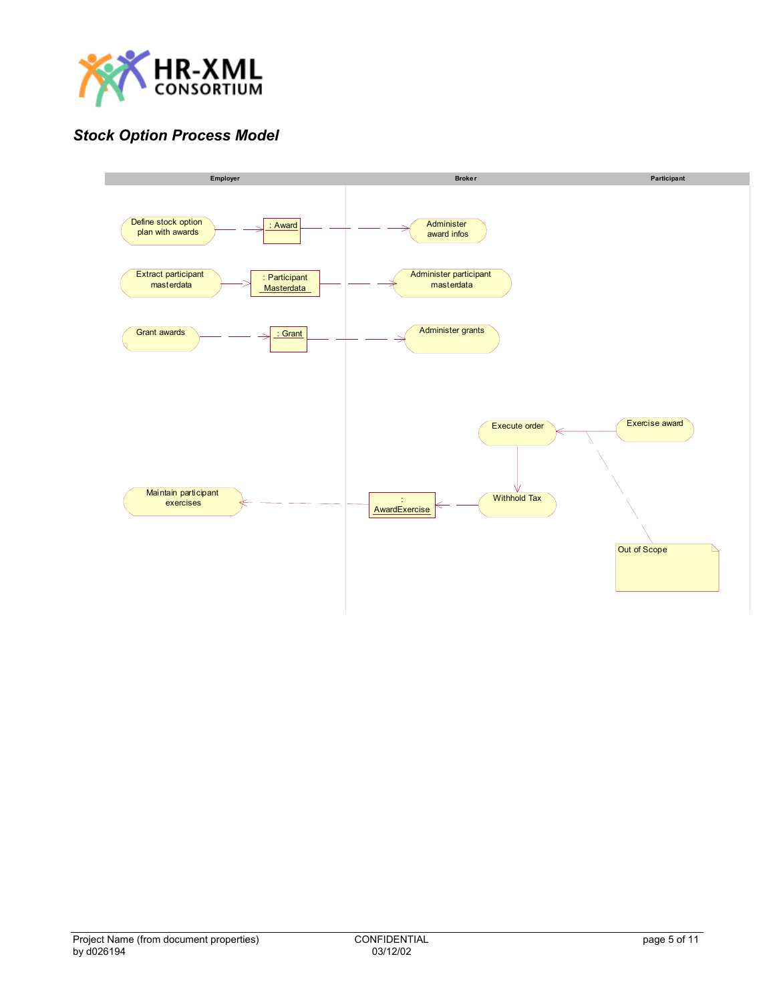

### *Stock Option Process Model*

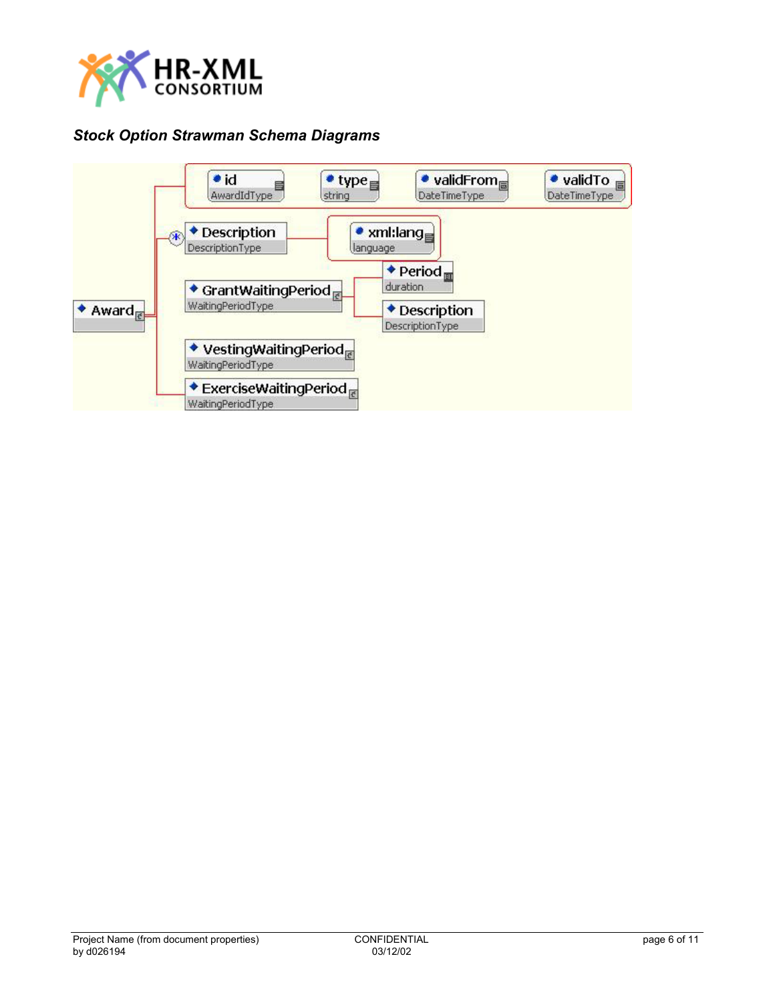

### *Stock Option Strawman Schema Diagrams*

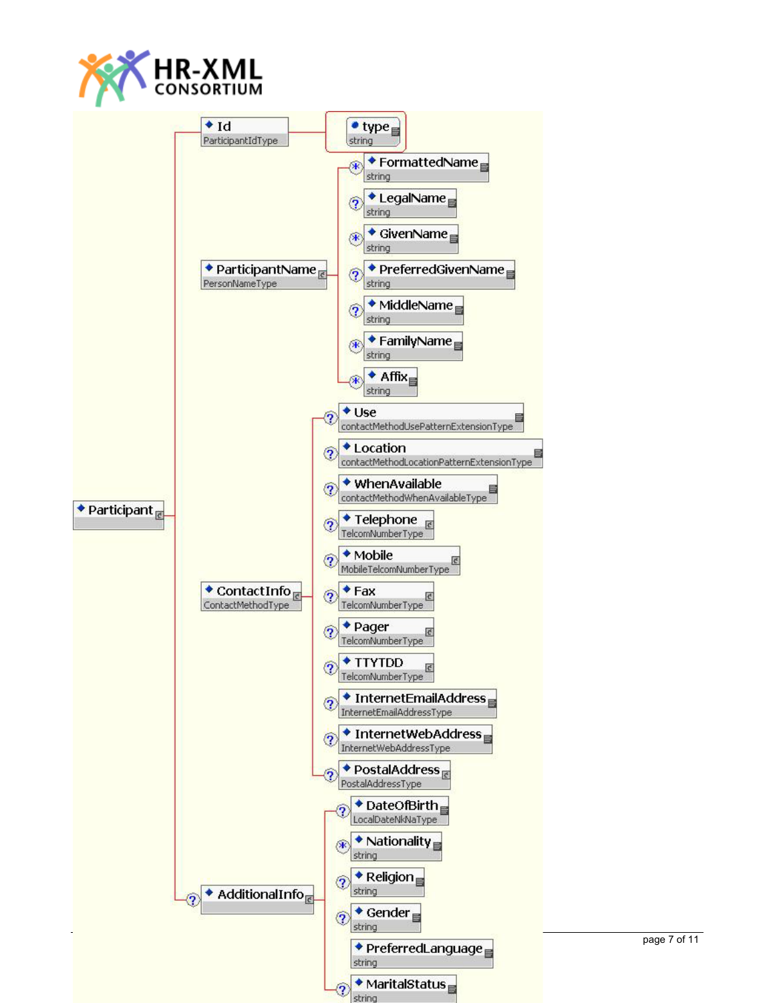

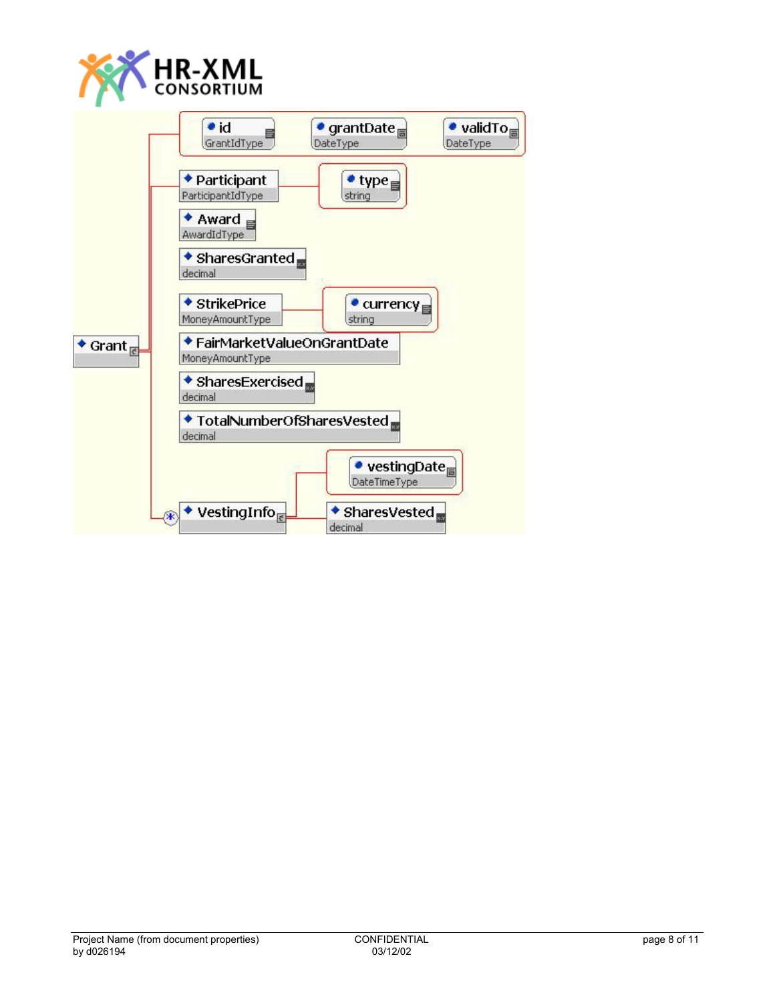

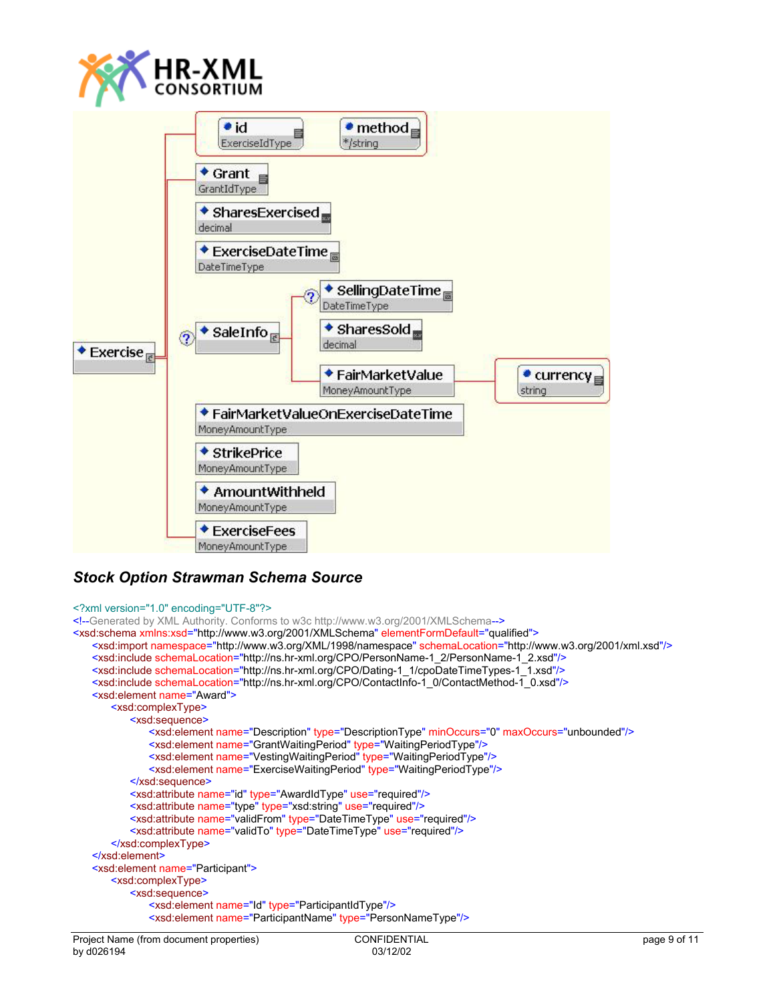



### *Stock Option Strawman Schema Source*

#### <?xml version="1.0" encoding="UTF-8"?>

```
<!--Generated by XML Authority. Conforms to w3c http://www.w3.org/2001/XMLSchema-->
<xsd:schema xmlns:xsd="http://www.w3.org/2001/XMLSchema" elementFormDefault="qualified">
   <xsd:import namespace="http://www.w3.org/XML/1998/namespace" schemaLocation="http://www.w3.org/2001/xml.xsd"/>
   <xsd:include schemaLocation="http://ns.hr-xml.org/CPO/PersonName-1_2/PersonName-1_2.xsd"/>
   <xsd:include schemaLocation="http://ns.hr-xml.org/CPO/Dating-1_1/cpoDateTimeTypes-1_1.xsd"/>
   <xsd:include schemaLocation="http://ns.hr-xml.org/CPO/ContactInfo-1_0/ContactMethod-1_0.xsd"/>
   <xsd:element name="Award">
        <xsd:complexType>
            <xsd:sequence>
                <xsd:element name="Description" type="DescriptionType" minOccurs="0" maxOccurs="unbounded"/>
                <xsd:element name="GrantWaitingPeriod" type="WaitingPeriodType"/>
                <xsd:element name="VestingWaitingPeriod" type="WaitingPeriodType"/>
                <xsd:element name="ExerciseWaitingPeriod" type="WaitingPeriodType"/>
            </xsd:sequence>
            <xsd:attribute name="id" type="AwardIdType" use="required"/>
            <xsd:attribute name="type" type="xsd:string" use="required"/>
            <xsd:attribute name="validFrom" type="DateTimeType" use="required"/>
            <xsd:attribute name="validTo" type="DateTimeType" use="required"/>
        </xsd:complexType>
   </xsd:element>
   <xsd:element name="Participant">
        <xsd:complexType>
            <xsd:sequence>
                <xsd:element name="Id" type="ParticipantIdType"/>
                <xsd:element name="ParticipantName" type="PersonNameType"/>
```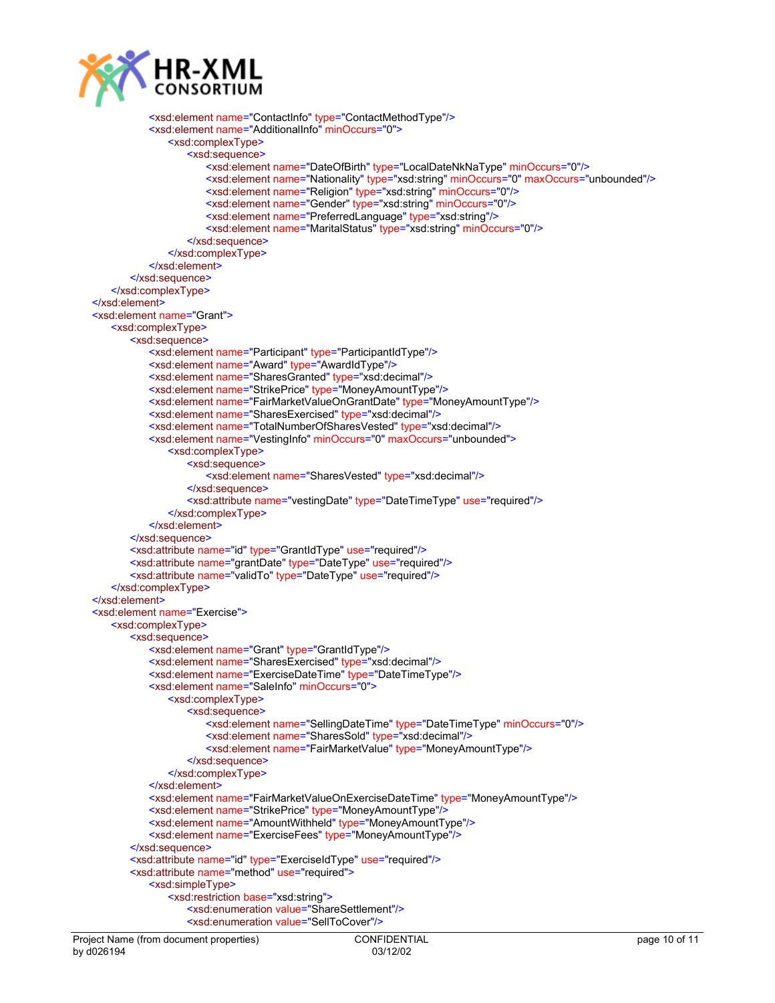

```
 <xsd:element name="ContactInfo" type="ContactMethodType"/>
            <xsd:element name="AdditionalInfo" minOccurs="0">
                <xsd:complexType>
                   <xsd:sequence>
                       <xsd:element name="DateOfBirth" type="LocalDateNkNaType" minOccurs="0"/>
                      <xsd:element name="Nationality" type="xsd:string" minOccurs="0" maxOccurs="unbounded"/>
                       <xsd:element name="Religion" type="xsd:string" minOccurs="0"/>
                       <xsd:element name="Gender" type="xsd:string" minOccurs="0"/>
                       <xsd:element name="PreferredLanguage" type="xsd:string"/>
                       <xsd:element name="MaritalStatus" type="xsd:string" minOccurs="0"/>
                   </xsd:sequence>
                </xsd:complexType>
            </xsd:element>
        </xsd:sequence>
    </xsd:complexType>
</xsd:element>
<xsd:element name="Grant">
    <xsd:complexType>
        <xsd:sequence>
            <xsd:element name="Participant" type="ParticipantIdType"/>
            <xsd:element name="Award" type="AwardIdType"/>
            <xsd:element name="SharesGranted" type="xsd:decimal"/>
           <xsd:element name="StrikePrice" type="MoneyAmountType"/>
            <xsd:element name="FairMarketValueOnGrantDate" type="MoneyAmountType"/>
            <xsd:element name="SharesExercised" type="xsd:decimal"/>
            <xsd:element name="TotalNumberOfSharesVested" type="xsd:decimal"/>
            <xsd:element name="VestingInfo" minOccurs="0" maxOccurs="unbounded">
                <xsd:complexType>
                   <xsd:sequence>
                       <xsd:element name="SharesVested" type="xsd:decimal"/>
                   </xsd:sequence>
                   <xsd:attribute name="vestingDate" type="DateTimeType" use="required"/>
                </xsd:complexType>
            </xsd:element>
        </xsd:sequence>
        <xsd:attribute name="id" type="GrantIdType" use="required"/>
        <xsd:attribute name="grantDate" type="DateType" use="required"/>
        <xsd:attribute name="validTo" type="DateType" use="required"/>
    </xsd:complexType>
</xsd:element>
<xsd:element name="Exercise">
    <xsd:complexType>
        <xsd:sequence>
            <xsd:element name="Grant" type="GrantIdType"/>
            <xsd:element name="SharesExercised" type="xsd:decimal"/>
            <xsd:element name="ExerciseDateTime" type="DateTimeType"/>
            <xsd:element name="SaleInfo" minOccurs="0">
                <xsd:complexType>
                   <xsd:sequence>
                       <xsd:element name="SellingDateTime" type="DateTimeType" minOccurs="0"/>
                       <xsd:element name="SharesSold" type="xsd:decimal"/>
                       <xsd:element name="FairMarketValue" type="MoneyAmountType"/>
                   </xsd:sequence>
                </xsd:complexType>
            </xsd:element>
            <xsd:element name="FairMarketValueOnExerciseDateTime" type="MoneyAmountType"/>
            <xsd:element name="StrikePrice" type="MoneyAmountType"/>
            <xsd:element name="AmountWithheld" type="MoneyAmountType"/>
            <xsd:element name="ExerciseFees" type="MoneyAmountType"/>
        </xsd:sequence>
        <xsd:attribute name="id" type="ExerciseIdType" use="required"/>
        <xsd:attribute name="method" use="required">
            <xsd:simpleType>
                <xsd:restriction base="xsd:string">
                   <xsd:enumeration value="ShareSettlement"/>
                   <xsd:enumeration value="SellToCover"/>
```